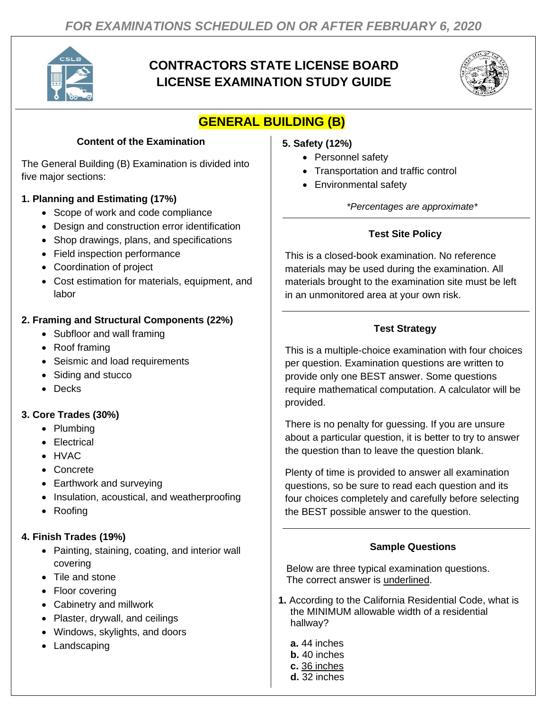

## **CONTRACTORS STATE LICENSE BOARD LICENSE EXAMINATION STUDY GUIDE**



# **GENERAL BUILDING (B)**

#### **Content of the Examination**

The General Building (B) Examination is divided into five major sections:

## **1. Planning and Estimating (17%)**

- Scope of work and code compliance
- Design and construction error identification
- Shop drawings, plans, and specifications
- Field inspection performance
- Coordination of project
- Cost estimation for materials, equipment, and labor

## **2. Framing and Structural Components (22%)**

- Subfloor and wall framing
- Roof framing
- Seismic and load requirements
- Siding and stucco
- Decks

## **3. Core Trades (30%)**

- Plumbing
- Electrical
- HVAC
- Concrete
- Earthwork and surveying
- Insulation, acoustical, and weatherproofing
- Roofing

#### **4. Finish Trades (19%)**

- Painting, staining, coating, and interior wall covering
- Tile and stone
- Floor covering
- Cabinetry and millwork
- Plaster, drywall, and ceilings
- Windows, skylights, and doors
- Landscaping
- **5. Safety (12%)**
	- Personnel safety
	- Transportation and traffic control
	- Environmental safety

*\*Percentages are approximate\**

#### **Test Site Policy**

This is a closed-book examination. No reference materials may be used during the examination. All materials brought to the examination site must be left in an unmonitored area at your own risk.

#### **Test Strategy**

This is a multiple-choice examination with four choices per question. Examination questions are written to provide only one BEST answer. Some questions require mathematical computation. A calculator will be provided.

There is no penalty for guessing. If you are unsure about a particular question, it is better to try to answer the question than to leave the question blank.

Plenty of time is provided to answer all examination questions, so be sure to read each question and its four choices completely and carefully before selecting the BEST possible answer to the question.

#### **Sample Questions**

Below are three typical examination questions. The correct answer is underlined.

- **1.** According to the California Residential Code, what is the MINIMUM allowable width of a residential hallway?
	- **a.** 44 inches **b.** 40 inches **c.** 36 inches **d.** 32 inches